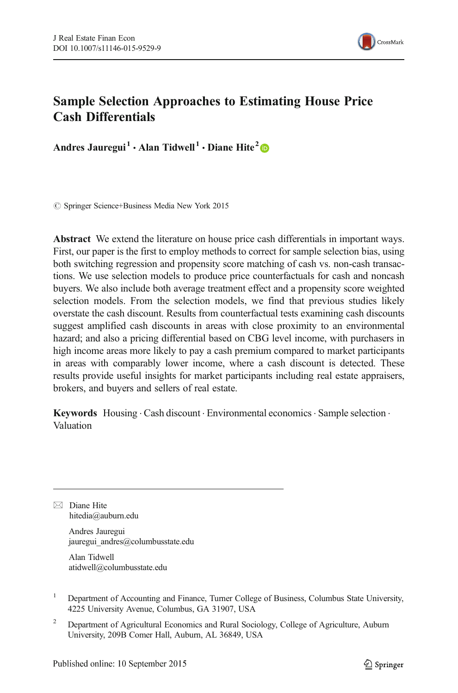

# Sample Selection Approaches to Estimating House Price Cash Differentials

Andres Jauregui<sup>1</sup> · Alan Tidwell<sup>1</sup> · Diane Hite<sup>2</sup>

 $\oslash$  Springer Science+Business Media New York 2015

Abstract We extend the literature on house price cash differentials in important ways. First, our paper is the first to employ methods to correct for sample selection bias, using both switching regression and propensity score matching of cash vs. non-cash transactions. We use selection models to produce price counterfactuals for cash and noncash buyers. We also include both average treatment effect and a propensity score weighted selection models. From the selection models, we find that previous studies likely overstate the cash discount. Results from counterfactual tests examining cash discounts suggest amplified cash discounts in areas with close proximity to an environmental hazard; and also a pricing differential based on CBG level income, with purchasers in high income areas more likely to pay a cash premium compared to market participants in areas with comparably lower income, where a cash discount is detected. These results provide useful insights for market participants including real estate appraisers, brokers, and buyers and sellers of real estate.

Keywords Housing . Cash discount . Environmental economics. Sample selection . Valuation

 $\boxtimes$  Diane Hite hitedia@auburn.edu

> Andres Jauregui jauregui andres@columbusstate.edu

Alan Tidwell atidwell@columbusstate.edu

- <sup>1</sup> Department of Accounting and Finance, Turner College of Business, Columbus State University, 4225 University Avenue, Columbus, GA 31907, USA
- <sup>2</sup> Department of Agricultural Economics and Rural Sociology, College of Agriculture, Auburn University, 209B Comer Hall, Auburn, AL 36849, USA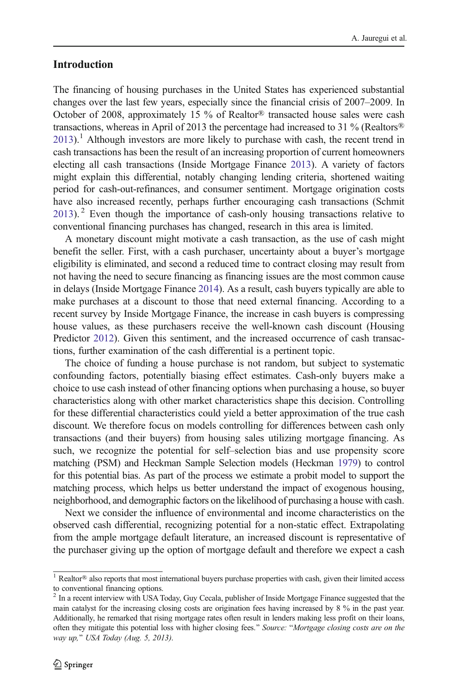### Introduction

The financing of housing purchases in the United States has experienced substantial changes over the last few years, especially since the financial crisis of 2007–2009. In October of 2008, approximately 15 % of Realtor<sup>®</sup> transacted house sales were cash transactions, whereas in April of 2013 the percentage had increased to 31 % (Realtors®  $2013$ ).<sup>1</sup> Although investors are more likely to purchase with cash, the recent trend in cash transactions has been the result of an increasing proportion of current homeowners electing all cash transactions (Inside Mortgage Finance [2013\)](#page-19-0). A variety of factors might explain this differential, notably changing lending criteria, shortened waiting period for cash-out-refinances, and consumer sentiment. Mortgage origination costs have also increased recently, perhaps further encouraging cash transactions (Schmit  $2013$ ). <sup>2</sup> Even though the importance of cash-only housing transactions relative to conventional financing purchases has changed, research in this area is limited.

A monetary discount might motivate a cash transaction, as the use of cash might benefit the seller. First, with a cash purchaser, uncertainty about a buyer's mortgage eligibility is eliminated, and second a reduced time to contract closing may result from not having the need to secure financing as financing issues are the most common cause in delays (Inside Mortgage Finance [2014\)](#page-19-0). As a result, cash buyers typically are able to make purchases at a discount to those that need external financing. According to a recent survey by Inside Mortgage Finance, the increase in cash buyers is compressing house values, as these purchasers receive the well-known cash discount (Housing Predictor [2012](#page-19-0)). Given this sentiment, and the increased occurrence of cash transactions, further examination of the cash differential is a pertinent topic.

The choice of funding a house purchase is not random, but subject to systematic confounding factors, potentially biasing effect estimates. Cash-only buyers make a choice to use cash instead of other financing options when purchasing a house, so buyer characteristics along with other market characteristics shape this decision. Controlling for these differential characteristics could yield a better approximation of the true cash discount. We therefore focus on models controlling for differences between cash only transactions (and their buyers) from housing sales utilizing mortgage financing. As such, we recognize the potential for self–selection bias and use propensity score matching (PSM) and Heckman Sample Selection models (Heckman [1979](#page-19-0)) to control for this potential bias. As part of the process we estimate a probit model to support the matching process, which helps us better understand the impact of exogenous housing, neighborhood, and demographic factors on the likelihood of purchasing a house with cash.

Next we consider the influence of environmental and income characteristics on the observed cash differential, recognizing potential for a non-static effect. Extrapolating from the ample mortgage default literature, an increased discount is representative of the purchaser giving up the option of mortgage default and therefore we expect a cash

<sup>&</sup>lt;sup>1</sup> Realtor<sup>®</sup> also reports that most international buyers purchase properties with cash, given their limited access to conventional financing options.

<sup>&</sup>lt;sup>2</sup> In a recent interview with USA Today, Guy Cecala, publisher of Inside Mortgage Finance suggested that the main catalyst for the increasing closing costs are origination fees having increased by 8 % in the past year. Additionally, he remarked that rising mortgage rates often result in lenders making less profit on their loans, often they mitigate this potential loss with higher closing fees." Source: "Mortgage closing costs are on the way up," USA Today (Aug. 5, 2013).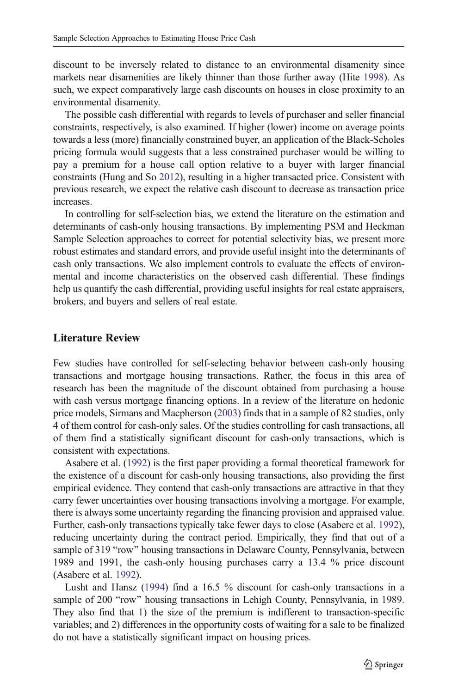<span id="page-2-0"></span>discount to be inversely related to distance to an environmental disamenity since markets near disamenities are likely thinner than those further away (Hite [1998](#page-19-0)). As such, we expect comparatively large cash discounts on houses in close proximity to an environmental disamenity.

The possible cash differential with regards to levels of purchaser and seller financial constraints, respectively, is also examined. If higher (lower) income on average points towards a less (more) financially constrained buyer, an application of the Black-Scholes pricing formula would suggests that a less constrained purchaser would be willing to pay a premium for a house call option relative to a buyer with larger financial constraints (Hung and So [2012](#page-19-0)), resulting in a higher transacted price. Consistent with previous research, we expect the relative cash discount to decrease as transaction price increases.

In controlling for self-selection bias, we extend the literature on the estimation and determinants of cash-only housing transactions. By implementing PSM and Heckman Sample Selection approaches to correct for potential selectivity bias, we present more robust estimates and standard errors, and provide useful insight into the determinants of cash only transactions. We also implement controls to evaluate the effects of environmental and income characteristics on the observed cash differential. These findings help us quantify the cash differential, providing useful insights for real estate appraisers, brokers, and buyers and sellers of real estate.

### Literature Review

Few studies have controlled for self-selecting behavior between cash-only housing transactions and mortgage housing transactions. Rather, the focus in this area of research has been the magnitude of the discount obtained from purchasing a house with cash versus mortgage financing options. In a review of the literature on hedonic price models, Sirmans and Macpherson ([2003](#page-20-0)) finds that in a sample of 82 studies, only 4 of them control for cash-only sales. Of the studies controlling for cash transactions, all of them find a statistically significant discount for cash-only transactions, which is consistent with expectations.

Asabere et al. ([1992](#page-19-0)) is the first paper providing a formal theoretical framework for the existence of a discount for cash-only housing transactions, also providing the first empirical evidence. They contend that cash-only transactions are attractive in that they carry fewer uncertainties over housing transactions involving a mortgage. For example, there is always some uncertainty regarding the financing provision and appraised value. Further, cash-only transactions typically take fewer days to close (Asabere et al. [1992\)](#page-19-0), reducing uncertainty during the contract period. Empirically, they find that out of a sample of 319 "row" housing transactions in Delaware County, Pennsylvania, between 1989 and 1991, the cash-only housing purchases carry a 13.4 % price discount (Asabere et al. [1992](#page-19-0)).

Lusht and Hansz ([1994](#page-19-0)) find a 16.5 % discount for cash-only transactions in a sample of 200 "row" housing transactions in Lehigh County, Pennsylvania, in 1989. They also find that 1) the size of the premium is indifferent to transaction-specific variables; and 2) differences in the opportunity costs of waiting for a sale to be finalized do not have a statistically significant impact on housing prices.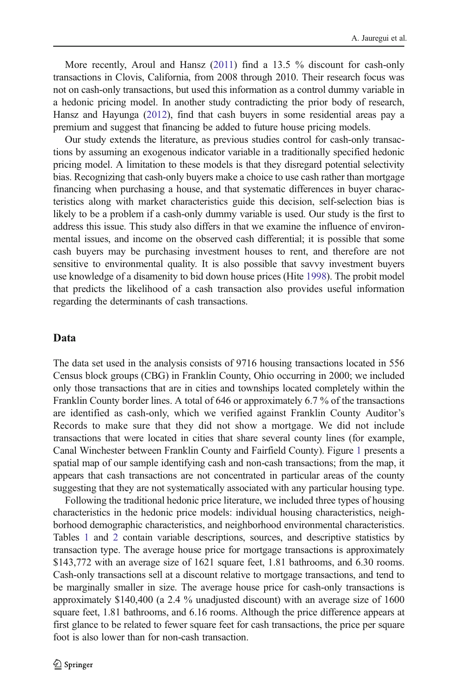More recently, Aroul and Hansz ([2011](#page-19-0)) find a 13.5 % discount for cash-only transactions in Clovis, California, from 2008 through 2010. Their research focus was not on cash-only transactions, but used this information as a control dummy variable in a hedonic pricing model. In another study contradicting the prior body of research, Hansz and Hayunga ([2012](#page-19-0)), find that cash buyers in some residential areas pay a premium and suggest that financing be added to future house pricing models.

Our study extends the literature, as previous studies control for cash-only transactions by assuming an exogenous indicator variable in a traditionally specified hedonic pricing model. A limitation to these models is that they disregard potential selectivity bias. Recognizing that cash-only buyers make a choice to use cash rather than mortgage financing when purchasing a house, and that systematic differences in buyer characteristics along with market characteristics guide this decision, self-selection bias is likely to be a problem if a cash-only dummy variable is used. Our study is the first to address this issue. This study also differs in that we examine the influence of environmental issues, and income on the observed cash differential; it is possible that some cash buyers may be purchasing investment houses to rent, and therefore are not sensitive to environmental quality. It is also possible that savvy investment buyers use knowledge of a disamenity to bid down house prices (Hite [1998](#page-19-0)). The probit model that predicts the likelihood of a cash transaction also provides useful information regarding the determinants of cash transactions.

### Data

The data set used in the analysis consists of 9716 housing transactions located in 556 Census block groups (CBG) in Franklin County, Ohio occurring in 2000; we included only those transactions that are in cities and townships located completely within the Franklin County border lines. A total of 646 or approximately 6.7 % of the transactions are identified as cash-only, which we verified against Franklin County Auditor's Records to make sure that they did not show a mortgage. We did not include transactions that were located in cities that share several county lines (for example, Canal Winchester between Franklin County and Fairfield County). Figure [1](#page-4-0) presents a spatial map of our sample identifying cash and non-cash transactions; from the map, it appears that cash transactions are not concentrated in particular areas of the county suggesting that they are not systematically associated with any particular housing type.

Following the traditional hedonic price literature, we included three types of housing characteristics in the hedonic price models: individual housing characteristics, neighborhood demographic characteristics, and neighborhood environmental characteristics. Tables [1](#page-5-0) and [2](#page-6-0) contain variable descriptions, sources, and descriptive statistics by transaction type. The average house price for mortgage transactions is approximately \$143,772 with an average size of 1621 square feet, 1.81 bathrooms, and 6.30 rooms. Cash-only transactions sell at a discount relative to mortgage transactions, and tend to be marginally smaller in size. The average house price for cash-only transactions is approximately \$140,400 (a 2.4 % unadjusted discount) with an average size of 1600 square feet, 1.81 bathrooms, and 6.16 rooms. Although the price difference appears at first glance to be related to fewer square feet for cash transactions, the price per square foot is also lower than for non-cash transaction.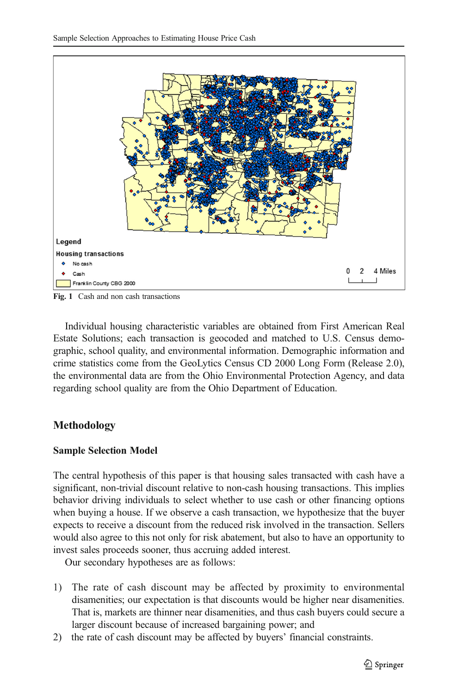<span id="page-4-0"></span>

Fig. 1 Cash and non cash transactions

Individual housing characteristic variables are obtained from First American Real Estate Solutions; each transaction is geocoded and matched to U.S. Census demographic, school quality, and environmental information. Demographic information and crime statistics come from the GeoLytics Census CD 2000 Long Form (Release 2.0), the environmental data are from the Ohio Environmental Protection Agency, and data regarding school quality are from the Ohio Department of Education.

## Methodology

### Sample Selection Model

The central hypothesis of this paper is that housing sales transacted with cash have a significant, non-trivial discount relative to non-cash housing transactions. This implies behavior driving individuals to select whether to use cash or other financing options when buying a house. If we observe a cash transaction, we hypothesize that the buyer expects to receive a discount from the reduced risk involved in the transaction. Sellers would also agree to this not only for risk abatement, but also to have an opportunity to invest sales proceeds sooner, thus accruing added interest.

Our secondary hypotheses are as follows:

- 1) The rate of cash discount may be affected by proximity to environmental disamenities; our expectation is that discounts would be higher near disamenities. That is, markets are thinner near disamenities, and thus cash buyers could secure a larger discount because of increased bargaining power; and
- 2) the rate of cash discount may be affected by buyers' financial constraints.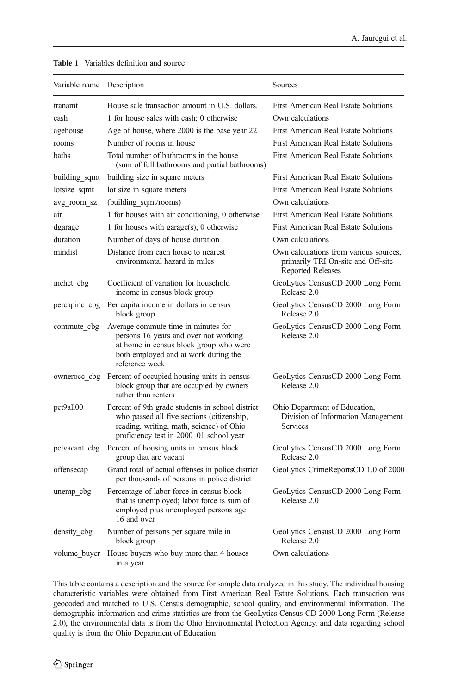| Variable name Description |                                                                                                                                                                                       | Sources                                                                                                  |
|---------------------------|---------------------------------------------------------------------------------------------------------------------------------------------------------------------------------------|----------------------------------------------------------------------------------------------------------|
| tranamt                   | House sale transaction amount in U.S. dollars.                                                                                                                                        | First American Real Estate Solutions                                                                     |
| cash                      | 1 for house sales with cash; 0 otherwise                                                                                                                                              | Own calculations                                                                                         |
| agehouse                  | Age of house, where 2000 is the base year 22                                                                                                                                          | <b>First American Real Estate Solutions</b>                                                              |
| rooms                     | Number of rooms in house                                                                                                                                                              | <b>First American Real Estate Solutions</b>                                                              |
| baths                     | Total number of bathrooms in the house<br>(sum of full bathrooms and partial bathrooms)                                                                                               | <b>First American Real Estate Solutions</b>                                                              |
| building sqmt             | building size in square meters                                                                                                                                                        | <b>First American Real Estate Solutions</b>                                                              |
| lotsize sqmt              | lot size in square meters                                                                                                                                                             | <b>First American Real Estate Solutions</b>                                                              |
| avg_room_sz               | (building sqmt/rooms)                                                                                                                                                                 | Own calculations                                                                                         |
| air                       | 1 for houses with air conditioning, 0 otherwise                                                                                                                                       | <b>First American Real Estate Solutions</b>                                                              |
| dgarage                   | 1 for houses with garage(s), 0 otherwise                                                                                                                                              | <b>First American Real Estate Solutions</b>                                                              |
| duration                  | Number of days of house duration                                                                                                                                                      | Own calculations                                                                                         |
| mindist                   | Distance from each house to nearest<br>environmental hazard in miles                                                                                                                  | Own calculations from various sources,<br>primarily TRI On-site and Off-site<br><b>Reported Releases</b> |
| inchet cbg                | Coefficient of variation for household<br>income in census block group                                                                                                                | GeoLytics CensusCD 2000 Long Form<br>Release 2.0                                                         |
| percapinc cbg             | Per capita income in dollars in census<br>block group                                                                                                                                 | GeoLytics CensusCD 2000 Long Form<br>Release 2.0                                                         |
| commute cbg               | Average commute time in minutes for<br>persons 16 years and over not working<br>at home in census block group who were<br>both employed and at work during the<br>reference week      | GeoLytics CensusCD 2000 Long Form<br>Release 2.0                                                         |
|                           | ownerocc_cbg Percent of occupied housing units in census<br>block group that are occupied by owners<br>rather than renters                                                            | GeoLytics CensusCD 2000 Long Form<br>Release 2.0                                                         |
| pct9all00                 | Percent of 9th grade students in school district<br>who passed all five sections (citizenship,<br>reading, writing, math, science) of Ohio<br>proficiency test in 2000–01 school year | Ohio Department of Education,<br>Division of Information Management<br>Services                          |
| pctvacant cbg             | Percent of housing units in census block<br>group that are vacant                                                                                                                     | GeoLytics CensusCD 2000 Long Form<br>Release 2.0                                                         |
| offensecap                | Grand total of actual offenses in police district<br>per thousands of persons in police district                                                                                      | GeoLytics CrimeReportsCD 1.0 of 2000                                                                     |
| unemp cbg                 | Percentage of labor force in census block<br>that is unemployed; labor force is sum of<br>employed plus unemployed persons age<br>16 and over                                         | GeoLytics CensusCD 2000 Long Form<br>Release 2.0                                                         |
| density cbg               | Number of persons per square mile in<br>block group                                                                                                                                   | GeoLytics CensusCD 2000 Long Form<br>Release 2.0                                                         |
| volume buyer              | House buyers who buy more than 4 houses<br>in a year                                                                                                                                  | Own calculations                                                                                         |

<span id="page-5-0"></span>Table 1 Variables definition and source

This table contains a description and the source for sample data analyzed in this study. The individual housing characteristic variables were obtained from First American Real Estate Solutions. Each transaction was geocoded and matched to U.S. Census demographic, school quality, and environmental information. The demographic information and crime statistics are from the GeoLytics Census CD 2000 Long Form (Release 2.0), the environmental data is from the Ohio Environmental Protection Agency, and data regarding school quality is from the Ohio Department of Education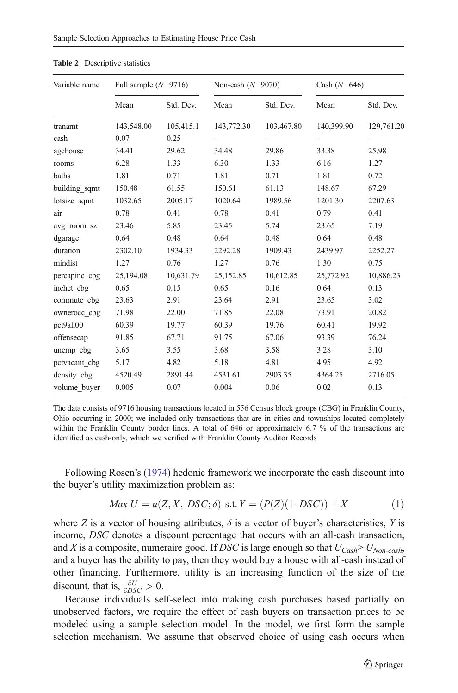| Variable name | Full sample $(N=9716)$ |           | Non-cash $(N=9070)$ |            |            | Cash $(N=646)$           |  |
|---------------|------------------------|-----------|---------------------|------------|------------|--------------------------|--|
|               | Mean                   | Std. Dev. | Mean                | Std. Dev.  | Mean       | Std. Dev.                |  |
| tranamt       | 143,548.00             | 105,415.1 | 143,772.30          | 103,467.80 | 140,399.90 | 129,761.20               |  |
| cash          | 0.07                   | 0.25      |                     |            |            | $\overline{\phantom{0}}$ |  |
| agehouse      | 34.41                  | 29.62     | 34.48               | 29.86      | 33.38      | 25.98                    |  |
| rooms         | 6.28                   | 1.33      | 6.30                | 1.33       | 6.16       | 1.27                     |  |
| baths         | 1.81                   | 0.71      | 1.81                | 0.71       | 1.81       | 0.72                     |  |
| building sqmt | 150.48                 | 61.55     | 150.61              | 61.13      | 148.67     | 67.29                    |  |
| lotsize sqmt  | 1032.65                | 2005.17   | 1020.64             | 1989.56    | 1201.30    | 2207.63                  |  |
| air           | 0.78                   | 0.41      | 0.78                | 0.41       | 0.79       | 0.41                     |  |
| avg room sz   | 23.46                  | 5.85      | 23.45               | 5.74       | 23.65      | 7.19                     |  |
| dgarage       | 0.64                   | 0.48      | 0.64                | 0.48       | 0.64       | 0.48                     |  |
| duration      | 2302.10                | 1934.33   | 2292.28             | 1909.43    | 2439.97    | 2252.27                  |  |
| mindist       | 1.27                   | 0.76      | 1.27                | 0.76       | 1.30       | 0.75                     |  |
| percapinc cbg | 25,194.08              | 10,631.79 | 25,152.85           | 10,612.85  | 25,772.92  | 10,886.23                |  |
| inchet cbg    | 0.65                   | 0.15      | 0.65                | 0.16       | 0.64       | 0.13                     |  |
| commute cbg   | 23.63                  | 2.91      | 23.64               | 2.91       | 23.65      | 3.02                     |  |
| ownerocc cbg  | 71.98                  | 22.00     | 71.85               | 22.08      | 73.91      | 20.82                    |  |
| pct9all00     | 60.39                  | 19.77     | 60.39               | 19.76      | 60.41      | 19.92                    |  |
| offensecap    | 91.85                  | 67.71     | 91.75               | 67.06      | 93.39      | 76.24                    |  |
| unemp cbg     | 3.65                   | 3.55      | 3.68                | 3.58       | 3.28       | 3.10                     |  |
| pctvacant cbg | 5.17                   | 4.82      | 5.18                | 4.81       | 4.95       | 4.92                     |  |
| density cbg   | 4520.49                | 2891.44   | 4531.61             | 2903.35    | 4364.25    | 2716.05                  |  |
| volume buyer  | 0.005                  | 0.07      | 0.004               | 0.06       | 0.02       | 0.13                     |  |
|               |                        |           |                     |            |            |                          |  |

<span id="page-6-0"></span>Table 2 Descriptive statistics

The data consists of 9716 housing transactions located in 556 Census block groups (CBG) in Franklin County, Ohio occurring in 2000; we included only transactions that are in cities and townships located completely within the Franklin County border lines. A total of 646 or approximately 6.7 % of the transactions are identified as cash-only, which we verified with Franklin County Auditor Records

Following Rosen's [\(1974\)](#page-20-0) hedonic framework we incorporate the cash discount into the buyer's utility maximization problem as:

$$
Max U = u(Z, X, DSC; \delta) \text{ s.t. } Y = (P(Z)(1 - DSC)) + X \tag{1}
$$

where Z is a vector of housing attributes,  $\delta$  is a vector of buyer's characteristics, Y is income, DSC denotes a discount percentage that occurs with an all-cash transaction, and X is a composite, numeraire good. If DSC is large enough so that  $U_{Cash} > U_{Non-cash}$ , and a buyer has the ability to pay, then they would buy a house with all-cash instead of other financing. Furthermore, utility is an increasing function of the size of the discount, that is,  $\frac{\partial U}{\partial DSC} > 0$ .

Because individuals self-select into making cash purchases based partially on unobserved factors, we require the effect of cash buyers on transaction prices to be modeled using a sample selection model. In the model, we first form the sample selection mechanism. We assume that observed choice of using cash occurs when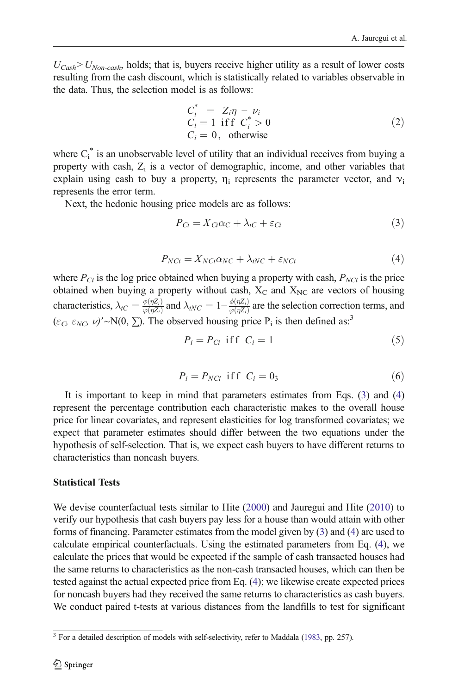$U_{Cash} > U_{Non-cash}$ , holds; that is, buyers receive higher utility as a result of lower costs resulting from the cash discount, which is statistically related to variables observable in the data. Thus, the selection model is as follows:

$$
C_i^* = Z_i \eta - \nu_i
$$
  
\n
$$
C_i = 1 \text{ iff } C_i^* > 0
$$
  
\n
$$
C_i = 0, \text{ otherwise}
$$
 (2)

where  $C_i^*$  is an unobservable level of utility that an individual receives from buying a property with cash,  $Z_i$  is a vector of demographic, income, and other variables that explain using cash to buy a property,  $\eta_i$  represents the parameter vector, and  $v_i$ represents the error term.

Next, the hedonic housing price models are as follows:

$$
P_{Ci} = X_{Ci}\alpha_C + \lambda_{iC} + \varepsilon_{Ci} \tag{3}
$$

$$
P_{NCi} = X_{NCi}\alpha_{NC} + \lambda_{iNC} + \varepsilon_{NCi}
$$
\n<sup>(4)</sup>

where  $P_{Ci}$  is the log price obtained when buying a property with cash,  $P_{NCi}$  is the price obtained when buying a property without cash,  $X_C$  and  $X_{NC}$  are vectors of housing characteristics,  $\lambda_{iC} = \frac{\phi(\eta Z_i)}{\phi(\eta Z_i)}$  and  $\lambda_{iNC} = 1-\frac{\phi(\eta Z_i)}{\phi(\eta Z_i)}$  are the selection correction terms, and  $(\varepsilon_C, \varepsilon_{NC}, \nu)' \sim N(0, \Sigma)$ . The observed housing price P<sub>i</sub> is then defined as:<sup>3</sup>

$$
P_i = P_{Ci} \text{ iff } C_i = 1 \tag{5}
$$

$$
P_i = P_{NCi} \text{ iff } C_i = 0_3 \tag{6}
$$

It is important to keep in mind that parameters estimates from Eqs. (3) and (4) represent the percentage contribution each characteristic makes to the overall house price for linear covariates, and represent elasticities for log transformed covariates; we expect that parameter estimates should differ between the two equations under the hypothesis of self-selection. That is, we expect cash buyers to have different returns to characteristics than noncash buyers.

### Statistical Tests

We devise counterfactual tests similar to Hite [\(2000\)](#page-19-0) and Jauregui and Hite ([2010\)](#page-19-0) to verify our hypothesis that cash buyers pay less for a house than would attain with other forms of financing. Parameter estimates from the model given by (3) and (4) are used to calculate empirical counterfactuals. Using the estimated parameters from Eq. (4), we calculate the prices that would be expected if the sample of cash transacted houses had the same returns to characteristics as the non-cash transacted houses, which can then be tested against the actual expected price from Eq. (4); we likewise create expected prices for noncash buyers had they received the same returns to characteristics as cash buyers. We conduct paired t-tests at various distances from the landfills to test for significant

<sup>&</sup>lt;sup>3</sup> For a detailed description of models with self-selectivity, refer to Maddala ([1983](#page-19-0), pp. 257).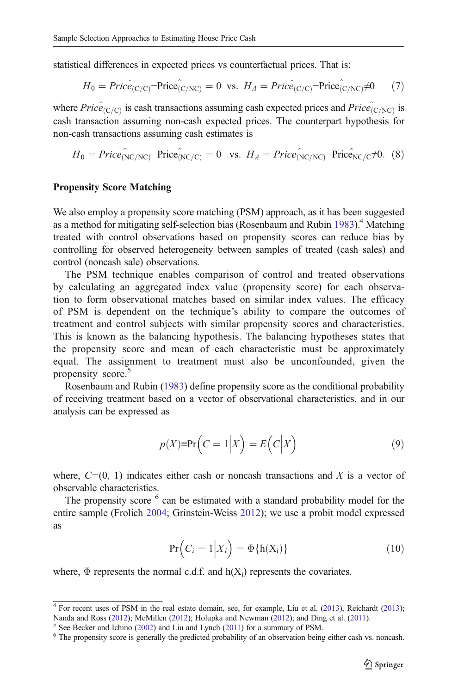<span id="page-8-0"></span>statistical differences in expected prices vs counterfactual prices. That is:

$$
H_0 = \text{Price}_{(C/C)} - \text{Price}_{(C/NC)} = 0 \text{ vs. } H_A = \text{Price}_{(C/C)} - \text{Price}_{(C/NC)} \neq 0 \tag{7}
$$

where  $Price^{\circ}_{(C/C)}$  is cash transactions assuming cash expected prices and  $Price^{\circ}_{(C/NC)}$  is cash transaction assuming non seek arrested mises. The counterment hungthesis for cash transaction assuming non-cash expected prices. The counterpart hypothesis for non-cash transactions assuming cash estimates is

$$
H_0 = \text{Price}_{(NC/NC)} - \text{Price}_{(NC/C)} = 0 \quad \text{vs.} \quad H_A = \text{Price}_{(NC/NC)} - \text{Price}_{NC/C} \neq 0. \tag{8}
$$

#### Propensity Score Matching

We also employ a propensity score matching (PSM) approach, as it has been suggested as a method for mitigating self-selection bias (Rosenbaum and Rubin [1983](#page-20-0)).<sup>4</sup> Matching treated with control observations based on propensity scores can reduce bias by controlling for observed heterogeneity between samples of treated (cash sales) and control (noncash sale) observations.

The PSM technique enables comparison of control and treated observations by calculating an aggregated index value (propensity score) for each observation to form observational matches based on similar index values. The efficacy of PSM is dependent on the technique's ability to compare the outcomes of treatment and control subjects with similar propensity scores and characteristics. This is known as the balancing hypothesis. The balancing hypotheses states that the propensity score and mean of each characteristic must be approximately equal. The assignment to treatment must also be unconfounded, given the propensity score.<sup>5</sup>

Rosenbaum and Rubin [\(1983\)](#page-20-0) define propensity score as the conditional probability of receiving treatment based on a vector of observational characteristics, and in our analysis can be expressed as

$$
p(X) = Pr(C = 1 | X) = E(C | X)
$$
\n(9)

where,  $C=(0, 1)$  indicates either cash or noncash transactions and X is a vector of observable characteristics.

The propensity score  $6$  can be estimated with a standard probability model for the entire sample (Frolich [2004;](#page-19-0) Grinstein-Weiss [2012](#page-19-0)); we use a probit model expressed as

$$
Pr(C_i = 1 | X_i) = \Phi\{h(X_i)\}\tag{10}
$$

where,  $\Phi$  represents the normal c.d.f. and h( $X_i$ ) represents the covariates.

<sup>&</sup>lt;sup>4</sup> For recent uses of PSM in the real estate domain, see, for example, Liu et al. [\(2013\)](#page-20-0), Reichardt (2013); Nanda and Ross (2012); McMillen (2012); Holupka and Newman (2012); and Ding et al. (2011).

<sup>&</sup>lt;sup>5</sup> See Becker and Ichino (2002) and Liu and Lynch [\(2011](#page-19-0)) for a summary of PSM.<br><sup>6</sup> The propensity score is generally the predicted probability of an observation being either cash vs. noncash.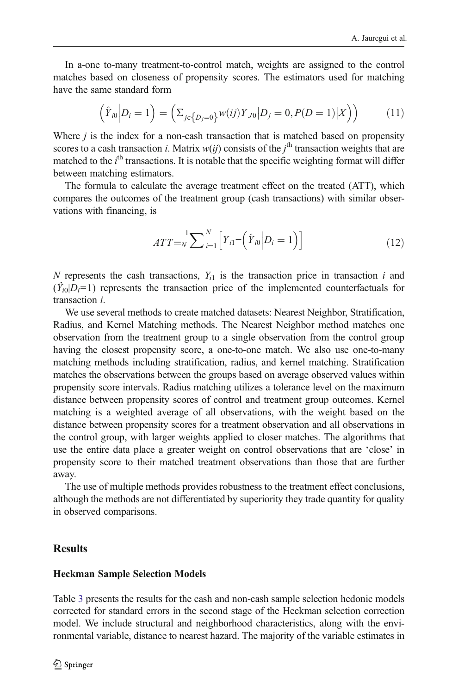In a-one to-many treatment-to-control match, weights are assigned to the control matches based on closeness of propensity scores. The estimators used for matching have the same standard form

$$
\left(\hat{Y}_{i0}\big|D_i=1\right) = \left(\sum_{j \in \{D_j=0\}} w(ij)Y_{J0}\big|D_j=0, P(D=1)\big|X\right) \right) \tag{11}
$$

Where  $j$  is the index for a non-cash transaction that is matched based on propensity scores to a cash transaction *i*. Matrix  $w(ij)$  consists of the  $j<sup>th</sup>$  transaction weights that are matched to the  $i<sup>th</sup>$  transactions. It is notable that the specific weighting format will differ between matching estimators.

The formula to calculate the average treatment effect on the treated (ATT), which compares the outcomes of the treatment group (cash transactions) with similar observations with financing, is

$$
ATT = N \sum_{i=1}^{N} \left[ Y_{i1} - \left( \hat{Y}_{i0} \middle| D_i = 1 \right) \right] \tag{12}
$$

N represents the cash transactions,  $Y_{i1}$  is the transaction price in transaction i and  $(\hat{Y}_{i0}|D_i=1)$  represents the transaction price of the implemented counterfactuals for transaction i.

We use several methods to create matched datasets: Nearest Neighbor, Stratification, Radius, and Kernel Matching methods. The Nearest Neighbor method matches one observation from the treatment group to a single observation from the control group having the closest propensity score, a one-to-one match. We also use one-to-many matching methods including stratification, radius, and kernel matching. Stratification matches the observations between the groups based on average observed values within propensity score intervals. Radius matching utilizes a tolerance level on the maximum distance between propensity scores of control and treatment group outcomes. Kernel matching is a weighted average of all observations, with the weight based on the distance between propensity scores for a treatment observation and all observations in the control group, with larger weights applied to closer matches. The algorithms that use the entire data place a greater weight on control observations that are 'close' in propensity score to their matched treatment observations than those that are further away.

The use of multiple methods provides robustness to the treatment effect conclusions, although the methods are not differentiated by superiority they trade quantity for quality in observed comparisons.

### **Results**

### Heckman Sample Selection Models

Table [3](#page-10-0) presents the results for the cash and non-cash sample selection hedonic models corrected for standard errors in the second stage of the Heckman selection correction model. We include structural and neighborhood characteristics, along with the environmental variable, distance to nearest hazard. The majority of the variable estimates in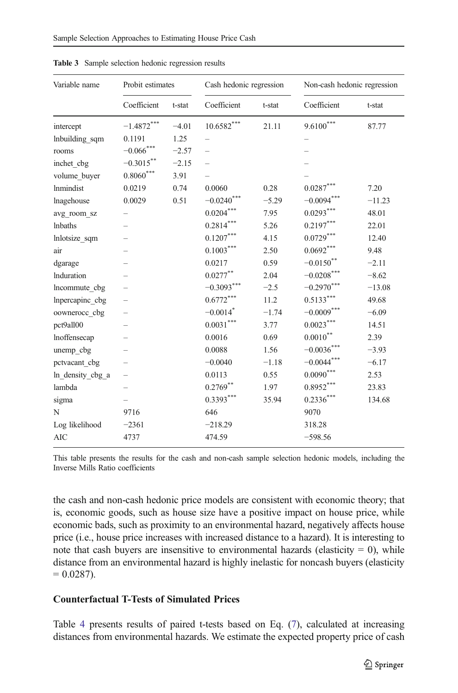| Probit estimates<br>Variable name |              |         | Cash hedonic regression |         | Non-cash hedonic regression |          |
|-----------------------------------|--------------|---------|-------------------------|---------|-----------------------------|----------|
|                                   | Coefficient  | t-stat  | Coefficient             | t-stat  | Coefficient                 | t-stat   |
| intercept                         | $-1.4872***$ | $-4.01$ | $10.6582***$            | 21.11   | $9.6100***$                 | 87.77    |
| Inbuilding sqm                    | 0.1191       | 1.25    |                         |         |                             |          |
| rooms                             | $-0.066$ *** | $-2.57$ |                         |         |                             |          |
| inchet cbg                        | $-0.3015***$ | $-2.15$ |                         |         |                             |          |
| volume buyer                      | $0.8060***$  | 3.91    |                         |         |                             |          |
| <b>Inmindist</b>                  | 0.0219       | 0.74    | 0.0060                  | 0.28    | $0.0287***$                 | 7.20     |
| lnagehouse                        | 0.0029       | 0.51    | $-0.0240$ <sup>*</sup>  | $-5.29$ | $-0.0094***$                | $-11.23$ |
| avg room sz                       |              |         | $0.0204***$             | 7.95    | $0.0293***$                 | 48.01    |
| <b>Inbaths</b>                    |              |         | $0.2814***$             | 5.26    | $0.2197***$                 | 22.01    |
| Inlotsize sqm                     |              |         | $0.1207***$             | 4.15    | $0.0729***$                 | 12.40    |
| air                               |              |         | $0.1003***$             | 2.50    | $0.0692***$                 | 9.48     |
| dgarage                           |              |         | 0.0217                  | 0.59    | $-0.0150$ **                | $-2.11$  |
| Induration                        |              |         | $0.0277***$             | 2.04    | $-0.0208***$                | $-8.62$  |
| Incommute cbg                     |              |         | $-0.3093***$            | $-2.5$  | $-0.2970***$                | $-13.08$ |
| Inpercapinc cbg                   |              |         | $0.6772***$             | 11.2    | $0.5133***$                 | 49.68    |
| oownerocc cbg                     |              |         | $-0.0014$ <sup>*</sup>  | $-1.74$ | $-0.0009***$                | $-6.09$  |
| pct9all00                         |              |         | $0.0031***$             | 3.77    | $0.0023***$                 | 14.51    |
| lnoffensecap                      |              |         | 0.0016                  | 0.69    | $0.0010***$                 | 2.39     |
| unemp cbg                         |              |         | 0.0088                  | 1.56    | $-0.0036$ ***               | $-3.93$  |
| pctvacant cbg                     |              |         | $-0.0040$               | $-1.18$ | $-0.0044***$                | $-6.17$  |
| In density cbg a                  |              |         | 0.0113                  | 0.55    | $0.0090***$                 | 2.53     |
| lambda                            |              |         | $0.2769***$             | 1.97    | $0.8952***$                 | 23.83    |
| sigma                             |              |         | $0.3393***$             | 35.94   | $0.2336***$                 | 134.68   |
| N                                 | 9716         |         | 646                     |         | 9070                        |          |
| Log likelihood                    | $-2361$      |         | $-218.29$               |         | 318.28                      |          |
| <b>AIC</b>                        | 4737         |         | 474.59                  |         | $-598.56$                   |          |
|                                   |              |         |                         |         |                             |          |

<span id="page-10-0"></span>Table 3 Sample selection hedonic regression results

This table presents the results for the cash and non-cash sample selection hedonic models, including the Inverse Mills Ratio coefficients

the cash and non-cash hedonic price models are consistent with economic theory; that is, economic goods, such as house size have a positive impact on house price, while economic bads, such as proximity to an environmental hazard, negatively affects house price (i.e., house price increases with increased distance to a hazard). It is interesting to note that cash buyers are insensitive to environmental hazards (elasticity  $= 0$ ), while distance from an environmental hazard is highly inelastic for noncash buyers (elasticity  $= 0.0287$ .

### Counterfactual T-Tests of Simulated Prices

Table [4](#page-11-0) presents results of paired t-tests based on Eq. ([7](#page-8-0)), calculated at increasing distances from environmental hazards. We estimate the expected property price of cash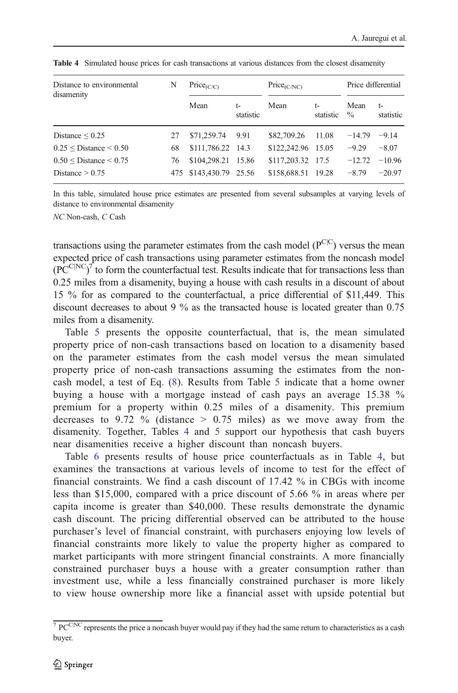| Distance to environmental<br>disamenity | N   | $Price_{(C/C)}$    |                 | $Price_{(C/NC)}$   |                 | Price differential    |                   |
|-----------------------------------------|-----|--------------------|-----------------|--------------------|-----------------|-----------------------|-------------------|
|                                         |     | Mean               | t-<br>statistic | Mean               | t-<br>statistic | Mean<br>$\frac{0}{0}$ | $t-$<br>statistic |
| Distance $\leq 0.25$                    | 27  | \$71,259.74        | 9.91            | \$82,709.26        | 11.08           | $-14.79$              | $-9.14$           |
| $0.25 \leq$ Distance $\leq 0.50$        | 68  | \$111,786.22 14.3  |                 | \$122,242.96 15.05 |                 | $-9.29$               | $-8.07$           |
| $0.50 \leq$ Distance $\leq 0.75$        | 76  | \$104,298.21 15.86 |                 | \$117,203.32 17.5  |                 | $-12.72$              | $-10.96$          |
| Distance $> 0.75$                       | 475 | \$143,430.79 25.56 |                 | \$158,688.51       | 19.28           | $-8.79$               | $-20.97$          |

<span id="page-11-0"></span>Table 4 Simulated house prices for cash transactions at various distances from the closest disamenity

In this table, simulated house price estimates are presented from several subsamples at varying levels of distance to environmental disamenity

NC Non-cash, C Cash

transactions using the parameter estimates from the cash model  $(P^{C|C})$  versus the mean expected price of cash transactions using parameter estimates from the noncash model  $(PC^{C[NC)}$ <sup>7</sup> to form the counterfactual test. Results indicate that for transactions less than 0.25 miles from a disamenity, buying a house with cash results in a discount of about 15 % for as compared to the counterfactual, a price differential of \$11,449. This discount decreases to about 9 % as the transacted house is located greater than 0.75 miles from a disamenity.

Table [5](#page-12-0) presents the opposite counterfactual, that is, the mean simulated property price of non-cash transactions based on location to a disamenity based on the parameter estimates from the cash model versus the mean simulated property price of non-cash transactions assuming the estimates from the noncash model, a test of Eq. ([8](#page-8-0)). Results from Table [5](#page-12-0) indicate that a home owner buying a house with a mortgage instead of cash pays an average 15.38 % premium for a property within 0.25 miles of a disamenity. This premium decreases to 9.72 % (distance  $> 0.75$  miles) as we move away from the disamenity. Together, Tables 4 and [5](#page-12-0) support our hypothesis that cash buyers near disamenities receive a higher discount than noncash buyers.

Table [6](#page-13-0) presents results of house price counterfactuals as in Table 4, but examines the transactions at various levels of income to test for the effect of financial constraints. We find a cash discount of 17.42 % in CBGs with income less than \$15,000, compared with a price discount of 5.66 % in areas where per capita income is greater than \$40,000. These results demonstrate the dynamic cash discount. The pricing differential observed can be attributed to the house purchaser's level of financial constraint, with purchasers enjoying low levels of financial constraints more likely to value the property higher as compared to market participants with more stringent financial constraints. A more financially constrained purchaser buys a house with a greater consumption rather than investment use, while a less financially constrained purchaser is more likely to view house ownership more like a financial asset with upside potential but

 $\overline{7}$  PC<sup>C|NC</sup> represents the price a noncash buyer would pay if they had the same return to characteristics as a cash buyer.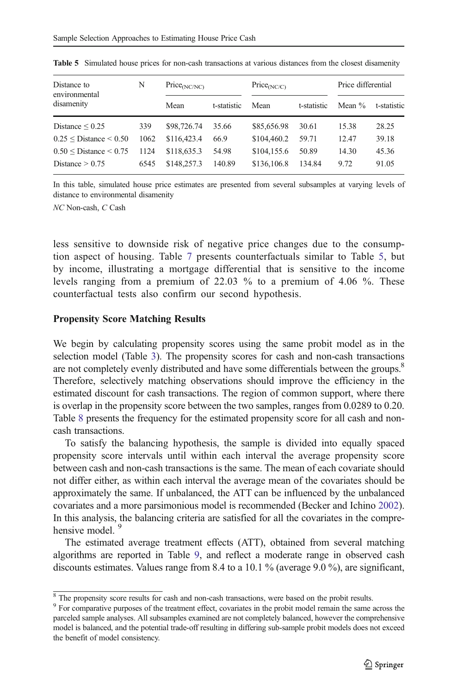| Distance to<br>environmental          | N    | $Price_{(NC/NC)}$ |             |             | $Price_{(NCC)}$ |           | Price differential |  |
|---------------------------------------|------|-------------------|-------------|-------------|-----------------|-----------|--------------------|--|
| disamenity                            |      | Mean              | t-statistic | Mean        | t-statistic     | Mean $\%$ | t-statistic        |  |
| Distance $\leq 0.25$                  | 339  | \$98,726.74       | 35.66       | \$85,656.98 | 30.61           | 15.38     | 28.25              |  |
| $0.25 \leq \text{Distance} \leq 0.50$ | 1062 | \$116,423.4       | 66.9        | \$104,460.2 | 59.71           | 12.47     | 39.18              |  |
| $0.50 \leq$ Distance $\leq 0.75$      | 1124 | \$118,635.3       | 54.98       | \$104,155.6 | 50.89           | 14.30     | 45.36              |  |
| Distance $> 0.75$                     | 6545 | \$148,257.3       | 140.89      | \$136,106.8 | 134.84          | 9.72      | 91.05              |  |

<span id="page-12-0"></span>Table 5 Simulated house prices for non-cash transactions at various distances from the closest disamenity

In this table, simulated house price estimates are presented from several subsamples at varying levels of distance to environmental disamenity

NC Non-cash, C Cash

less sensitive to downside risk of negative price changes due to the consumption aspect of housing. Table [7](#page-14-0) presents counterfactuals similar to Table 5, but by income, illustrating a mortgage differential that is sensitive to the income levels ranging from a premium of 22.03 % to a premium of 4.06 %. These counterfactual tests also confirm our second hypothesis.

### Propensity Score Matching Results

We begin by calculating propensity scores using the same probit model as in the selection model (Table [3\)](#page-10-0). The propensity scores for cash and non-cash transactions are not completely evenly distributed and have some differentials between the groups.<sup>8</sup> Therefore, selectively matching observations should improve the efficiency in the estimated discount for cash transactions. The region of common support, where there is overlap in the propensity score between the two samples, ranges from 0.0289 to 0.20. Table [8](#page-15-0) presents the frequency for the estimated propensity score for all cash and noncash transactions.

To satisfy the balancing hypothesis, the sample is divided into equally spaced propensity score intervals until within each interval the average propensity score between cash and non-cash transactions is the same. The mean of each covariate should not differ either, as within each interval the average mean of the covariates should be approximately the same. If unbalanced, the ATT can be influenced by the unbalanced covariates and a more parsimonious model is recommended (Becker and Ichino [2002\)](#page-19-0). In this analysis, the balancing criteria are satisfied for all the covariates in the comprehensive model.<sup>9</sup>

The estimated average treatment effects (ATT), obtained from several matching algorithms are reported in Table [9](#page-15-0), and reflect a moderate range in observed cash discounts estimates. Values range from 8.4 to a 10.1 % (average 9.0 %), are significant,

 $8$  The propensity score results for cash and non-cash transactions, were based on the probit results.

<sup>&</sup>lt;sup>9</sup> For comparative purposes of the treatment effect, covariates in the probit model remain the same across the parceled sample analyses. All subsamples examined are not completely balanced, however the comprehensive model is balanced, and the potential trade-off resulting in differing sub-sample probit models does not exceed the benefit of model consistency.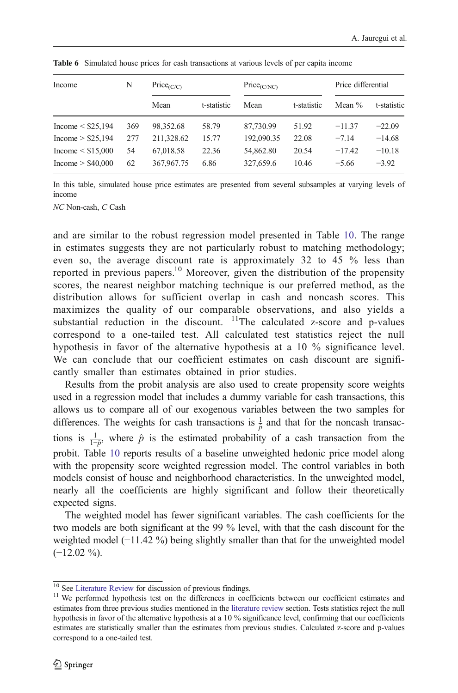| Income                 | N   | $Price_{(C/C)}$ |             | $Price_{(C/NC)}$ |             | Price differential |             |
|------------------------|-----|-----------------|-------------|------------------|-------------|--------------------|-------------|
|                        |     | Mean            | t-statistic | Mean             | t-statistic | Mean $\%$          | t-statistic |
| Income $\le$ \$25,194  | 369 | 98,352.68       | 58.79       | 87,730.99        | 51.92       | $-11.37$           | $-22.09$    |
| Income > \$25,194      | 277 | 211,328.62      | 15.77       | 192,090.35       | 22.08       | $-7.14$            | $-14.68$    |
| Income $\leq$ \$15,000 | 54  | 67,018.58       | 22.36       | 54,862.80        | 20.54       | $-17.42$           | $-10.18$    |
| Income $>$ \$40,000    | 62  | 367,967.75      | 6.86        | 327,659.6        | 10.46       | $-5.66$            | $-3.92$     |

<span id="page-13-0"></span>Table 6 Simulated house prices for cash transactions at various levels of per capita income

In this table, simulated house price estimates are presented from several subsamples at varying levels of income

NC Non-cash, C Cash

and are similar to the robust regression model presented in Table [10.](#page-16-0) The range in estimates suggests they are not particularly robust to matching methodology; even so, the average discount rate is approximately 32 to 45 % less than reported in previous papers.10 Moreover, given the distribution of the propensity scores, the nearest neighbor matching technique is our preferred method, as the distribution allows for sufficient overlap in cash and noncash scores. This maximizes the quality of our comparable observations, and also yields a substantial reduction in the discount.  $11$ The calculated z-score and p-values correspond to a one-tailed test. All calculated test statistics reject the null hypothesis in favor of the alternative hypothesis at a 10 % significance level. We can conclude that our coefficient estimates on cash discount are significantly smaller than estimates obtained in prior studies.

Results from the probit analysis are also used to create propensity score weights used in a regression model that includes a dummy variable for cash transactions, this allows us to compare all of our exogenous variables between the two samples for differences. The weights for cash transactions is  $\frac{1}{\hat{p}}$  and that for the noncash transactions is  $\frac{1}{1-\hat{p}}$ , where  $\hat{p}$  is the estimated probability of a cash transaction from the probit. Table [10](#page-16-0) reports results of a baseline unweighted hedonic price model along with the propensity score weighted regression model. The control variables in both models consist of house and neighborhood characteristics. In the unweighted model, nearly all the coefficients are highly significant and follow their theoretically expected signs.

The weighted model has fewer significant variables. The cash coefficients for the two models are both significant at the 99 % level, with that the cash discount for the weighted model (−11.42 %) being slightly smaller than that for the unweighted model  $(-12.02\%).$ 

 $10$  See [Literature Review](#page-2-0) for discussion of previous findings.<br><sup>11</sup> We performed hypothesis test on the differences in coefficients between our coefficient estimates and estimates from three previous studies mentioned in the [literature review](#page-2-0) section. Tests statistics reject the null hypothesis in favor of the alternative hypothesis at a 10 % significance level, confirming that our coefficients estimates are statistically smaller than the estimates from previous studies. Calculated z-score and p-values correspond to a one-tailed test.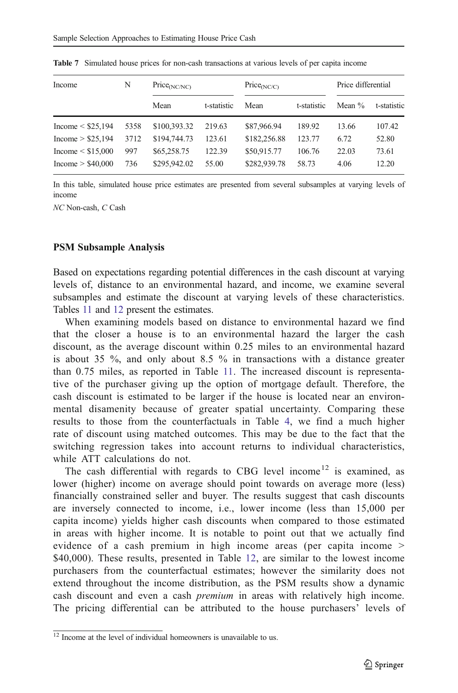| N<br>Income<br>$Price_{(NC/NC)}$ |      |              | $Price_{(NC/C)}$ | Price differential |             |           |             |
|----------------------------------|------|--------------|------------------|--------------------|-------------|-----------|-------------|
|                                  |      | Mean         | t-statistic      | Mean               | t-statistic | Mean $\%$ | t-statistic |
| Income $\le$ \$25,194            | 5358 | \$100,393.32 | 219.63           | \$87,966.94        | 189.92      | 13.66     | 107.42      |
| Income > \$25,194                | 3712 | \$194,744.73 | 123.61           | \$182,256.88       | 123.77      | 6.72      | 52.80       |
| Income $\leq$ \$15,000           | 997  | \$65,258.75  | 122.39           | \$50,915.77        | 106.76      | 22.03     | 73.61       |
| Income $>$ \$40,000              | 736  | \$295,942.02 | 55.00            | \$282,939.78       | 58.73       | 4.06      | 12.20       |

<span id="page-14-0"></span>Table 7 Simulated house prices for non-cash transactions at various levels of per capita income

In this table, simulated house price estimates are presented from several subsamples at varying levels of income

NC Non-cash, C Cash

#### PSM Subsample Analysis

Based on expectations regarding potential differences in the cash discount at varying levels of, distance to an environmental hazard, and income, we examine several subsamples and estimate the discount at varying levels of these characteristics. Tables [11](#page-17-0) and [12](#page-18-0) present the estimates.

When examining models based on distance to environmental hazard we find that the closer a house is to an environmental hazard the larger the cash discount, as the average discount within 0.25 miles to an environmental hazard is about 35 %, and only about 8.5 % in transactions with a distance greater than 0.75 miles, as reported in Table [11.](#page-17-0) The increased discount is representative of the purchaser giving up the option of mortgage default. Therefore, the cash discount is estimated to be larger if the house is located near an environmental disamenity because of greater spatial uncertainty. Comparing these results to those from the counterfactuals in Table [4](#page-11-0), we find a much higher rate of discount using matched outcomes. This may be due to the fact that the switching regression takes into account returns to individual characteristics, while ATT calculations do not.

The cash differential with regards to CBG level income<sup>12</sup> is examined, as lower (higher) income on average should point towards on average more (less) financially constrained seller and buyer. The results suggest that cash discounts are inversely connected to income, i.e., lower income (less than 15,000 per capita income) yields higher cash discounts when compared to those estimated in areas with higher income. It is notable to point out that we actually find evidence of a cash premium in high income areas (per capita income > \$40,000). These results, presented in Table [12,](#page-18-0) are similar to the lowest income purchasers from the counterfactual estimates; however the similarity does not extend throughout the income distribution, as the PSM results show a dynamic cash discount and even a cash premium in areas with relatively high income. The pricing differential can be attributed to the house purchasers' levels of

 $12$  Income at the level of individual homeowners is unavailable to us.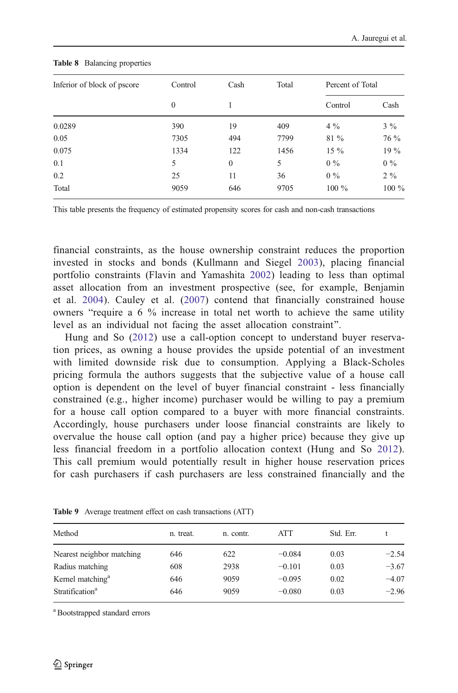| Inferior of block of pscore | Control      | Cash         | Total | Percent of Total |         |
|-----------------------------|--------------|--------------|-------|------------------|---------|
|                             | $\mathbf{0}$ |              |       | Control          | Cash    |
| 0.0289                      | 390          | 19           | 409   | $4\%$            | $3\%$   |
| 0.05                        | 7305         | 494          | 7799  | 81 %             | 76 %    |
| 0.075                       | 1334         | 122          | 1456  | 15 %             | 19 %    |
| 0.1                         | 5            | $\mathbf{0}$ | 5     | $0\%$            | $0\%$   |
| 0.2                         | 25           | 11           | 36    | $0\%$            | $2\%$   |
| Total                       | 9059         | 646          | 9705  | 100 %            | $100\%$ |

#### <span id="page-15-0"></span>Table 8 Balancing properties

This table presents the frequency of estimated propensity scores for cash and non-cash transactions

financial constraints, as the house ownership constraint reduces the proportion invested in stocks and bonds (Kullmann and Siegel [2003](#page-19-0)), placing financial portfolio constraints (Flavin and Yamashita [2002](#page-19-0)) leading to less than optimal asset allocation from an investment prospective (see, for example, Benjamin et al. [2004](#page-19-0)). Cauley et al. ([2007\)](#page-19-0) contend that financially constrained house owners "require a 6 % increase in total net worth to achieve the same utility level as an individual not facing the asset allocation constraint".

Hung and So [\(2012\)](#page-19-0) use a call-option concept to understand buyer reservation prices, as owning a house provides the upside potential of an investment with limited downside risk due to consumption. Applying a Black-Scholes pricing formula the authors suggests that the subjective value of a house call option is dependent on the level of buyer financial constraint - less financially constrained (e.g., higher income) purchaser would be willing to pay a premium for a house call option compared to a buyer with more financial constraints. Accordingly, house purchasers under loose financial constraints are likely to overvalue the house call option (and pay a higher price) because they give up less financial freedom in a portfolio allocation context (Hung and So [2012\)](#page-19-0). This call premium would potentially result in higher house reservation prices for cash purchasers if cash purchasers are less constrained financially and the

| Method                       | n. treat. | n. contr. | <b>ATT</b> | Std. Err. |         |
|------------------------------|-----------|-----------|------------|-----------|---------|
| Nearest neighbor matching    | 646       | 622       | $-0.084$   | 0.03      | $-2.54$ |
| Radius matching              | 608       | 2938      | $-0.101$   | 0.03      | $-3.67$ |
| Kernel matching <sup>a</sup> | 646       | 9059      | $-0.095$   | 0.02      | $-4.07$ |
| Stratification <sup>a</sup>  | 646       | 9059      | $-0.080$   | 0.03      | $-2.96$ |

Table 9 Average treatment effect on cash transactions (ATT)

<sup>a</sup> Bootstrapped standard errors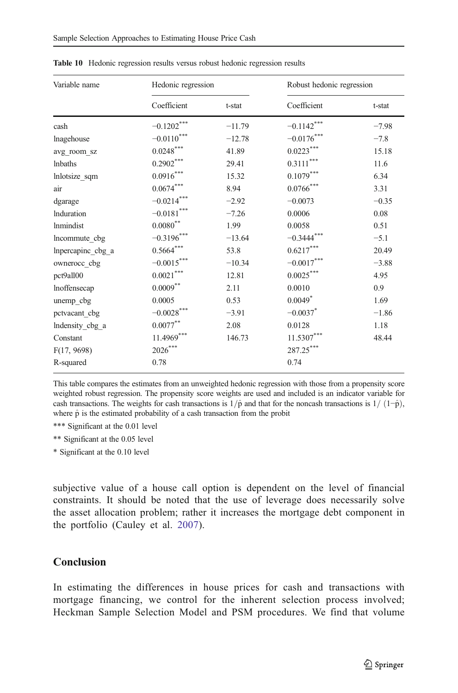| Variable name     | Hedonic regression    |          |                       | Robust hedonic regression |  |  |
|-------------------|-----------------------|----------|-----------------------|---------------------------|--|--|
|                   | Coefficient           | t-stat   | Coefficient           | t-stat                    |  |  |
| cash              | $-0.1202***$          | $-11.79$ | $-0.1142***$          | $-7.98$                   |  |  |
| lnagehouse        | $-0.0110$ ***         | $-12.78$ | $-0.0176$ ***         | $-7.8$                    |  |  |
| avg room sz       | $0.0248***$           | 41.89    | $0.0223***$           | 15.18                     |  |  |
| <b>lnbaths</b>    | $0.2902***$           | 29.41    | $0.3111***$           | 11.6                      |  |  |
| Inlotsize sqm     | $0.0916***$           | 15.32    | $0.1079***$           | 6.34                      |  |  |
| air               | $0.0674***$           | 8.94     | $0.0766$ ***          | 3.31                      |  |  |
| dgarage           | $-0.0214***$          | $-2.92$  | $-0.0073$             | $-0.35$                   |  |  |
| Induration        | $-0.0181***$          | $-7.26$  | 0.0006                | 0.08                      |  |  |
| <b>lnmindist</b>  | $0.0080^{\ast\ast}$   | 1.99     | 0.0058                | 0.51                      |  |  |
| lncommute_cbg     | $-0.3196***$          | $-13.64$ | $-0.3444$ ***         | $-5.1$                    |  |  |
| Inpercapinc cbg a | $0.5664^{***}$        | 53.8     | $0.6217***$           | 20.49                     |  |  |
| ownerocc cbg      | $-0.0015***$          | $-10.34$ | $-0.0017***$          | $-3.88$                   |  |  |
| pct9all00         | $0.0021^{***}\,$      | 12.81    | $0.0025***$           | 4.95                      |  |  |
| Inoffensecap      | $0.0009***$           | 2.11     | 0.0010                | 0.9                       |  |  |
| unemp cbg         | 0.0005                | 0.53     | $0.0049$ <sup>*</sup> | 1.69                      |  |  |
| pctvacant cbg     | $-0.0028$ ***         | $-3.91$  | $-0.0037$ *           | $-1.86$                   |  |  |
| lndensity_cbg_a   | $0.0077***$           | 2.08     | 0.0128                | 1.18                      |  |  |
| Constant          | $11.4969***$          | 146.73   | $11.5307***$          | 48.44                     |  |  |
| F(17, 9698)       | $2026^{\ast\ast\ast}$ |          | $287.25***$           |                           |  |  |
| R-squared         | 0.78                  |          | 0.74                  |                           |  |  |

<span id="page-16-0"></span>Table 10 Hedonic regression results versus robust hedonic regression results

This table compares the estimates from an unweighted hedonic regression with those from a propensity score weighted robust regression. The propensity score weights are used and included is an indicator variable for cash transactions. The weights for cash transactions is  $1/\hat{p}$  and that for the noncash transactions is  $1/ (1-\hat{p})$ , where  $\hat{p}$  is the estimated probability of a cash transaction from the probit

\*\*\* Significant at the 0.01 level

\*\* Significant at the 0.05 level

\* Significant at the 0.10 level

subjective value of a house call option is dependent on the level of financial constraints. It should be noted that the use of leverage does necessarily solve the asset allocation problem; rather it increases the mortgage debt component in the portfolio (Cauley et al. [2007\)](#page-19-0).

### Conclusion

In estimating the differences in house prices for cash and transactions with mortgage financing, we control for the inherent selection process involved; Heckman Sample Selection Model and PSM procedures. We find that volume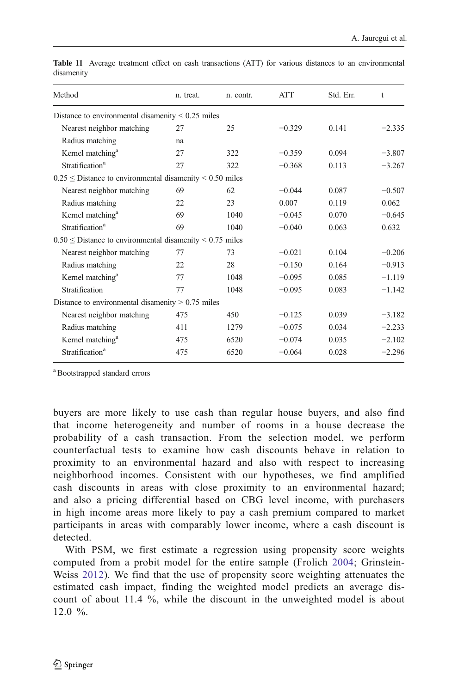| Method                                                        | n. treat. | n. contr. | ATT      | Std. Err. | t        |
|---------------------------------------------------------------|-----------|-----------|----------|-----------|----------|
| Distance to environmental disamenity $< 0.25$ miles           |           |           |          |           |          |
| Nearest neighbor matching                                     | 27        | 25        | $-0.329$ | 0.141     | $-2.335$ |
| Radius matching                                               | na        |           |          |           |          |
| Kernel matching <sup>a</sup>                                  | 27        | 322       | $-0.359$ | 0.094     | $-3.807$ |
| Stratification <sup>a</sup>                                   | 27        | 322       | $-0.368$ | 0.113     | $-3.267$ |
| $0.25 \leq$ Distance to environmental disamenity < 0.50 miles |           |           |          |           |          |
| Nearest neighbor matching                                     | 69        | 62        | $-0.044$ | 0.087     | $-0.507$ |
| Radius matching                                               | 22        | 23        | 0.007    | 0.119     | 0.062    |
| Kernel matching <sup>a</sup>                                  | 69        | 1040      | $-0.045$ | 0.070     | $-0.645$ |
| Stratification <sup>a</sup>                                   | 69        | 1040      | $-0.040$ | 0.063     | 0.632    |
| $0.50 \leq$ Distance to environmental disamenity < 0.75 miles |           |           |          |           |          |
| Nearest neighbor matching                                     | 77        | 73        | $-0.021$ | 0.104     | $-0.206$ |
| Radius matching                                               | 22        | 28        | $-0.150$ | 0.164     | $-0.913$ |
| Kernel matching <sup>a</sup>                                  | 77        | 1048      | $-0.095$ | 0.085     | $-1.119$ |
| Stratification                                                | 77        | 1048      | $-0.095$ | 0.083     | $-1.142$ |
| Distance to environmental disamenity $> 0.75$ miles           |           |           |          |           |          |
| Nearest neighbor matching                                     | 475       | 450       | $-0.125$ | 0.039     | $-3.182$ |
| Radius matching                                               | 411       | 1279      | $-0.075$ | 0.034     | $-2.233$ |
| Kernel matching <sup>a</sup>                                  | 475       | 6520      | $-0.074$ | 0.035     | $-2.102$ |
| Stratification <sup>a</sup>                                   | 475       | 6520      | $-0.064$ | 0.028     | $-2.296$ |

<span id="page-17-0"></span>Table 11 Average treatment effect on cash transactions (ATT) for various distances to an environmental disamenity

<sup>a</sup> Bootstrapped standard errors

buyers are more likely to use cash than regular house buyers, and also find that income heterogeneity and number of rooms in a house decrease the probability of a cash transaction. From the selection model, we perform counterfactual tests to examine how cash discounts behave in relation to proximity to an environmental hazard and also with respect to increasing neighborhood incomes. Consistent with our hypotheses, we find amplified cash discounts in areas with close proximity to an environmental hazard; and also a pricing differential based on CBG level income, with purchasers in high income areas more likely to pay a cash premium compared to market participants in areas with comparably lower income, where a cash discount is detected.

With PSM, we first estimate a regression using propensity score weights computed from a probit model for the entire sample (Frolich [2004;](#page-19-0) Grinstein-Weiss [2012\)](#page-19-0). We find that the use of propensity score weighting attenuates the estimated cash impact, finding the weighted model predicts an average discount of about 11.4 %, while the discount in the unweighted model is about  $12.0 \%$ .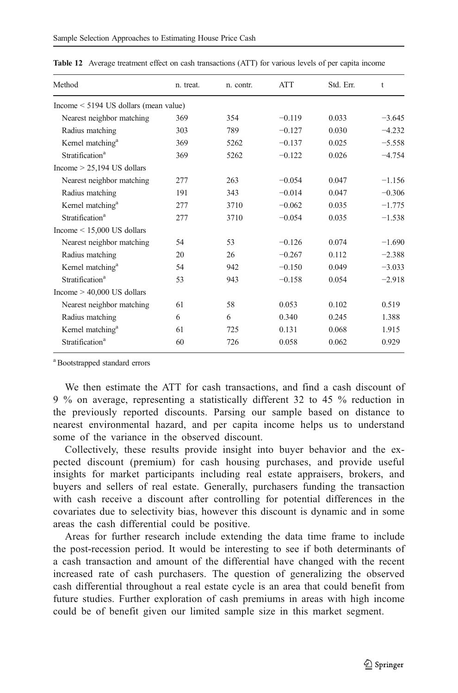| Method                                  | n. treat. | n. contr. | <b>ATT</b> | Std. Err. | t        |
|-----------------------------------------|-----------|-----------|------------|-----------|----------|
| Income $<$ 5194 US dollars (mean value) |           |           |            |           |          |
| Nearest neighbor matching               | 369       | 354       | $-0.119$   | 0.033     | $-3.645$ |
| Radius matching                         | 303       | 789       | $-0.127$   | 0.030     | $-4.232$ |
| Kernel matching <sup>a</sup>            | 369       | 5262      | $-0.137$   | 0.025     | $-5.558$ |
| Stratification <sup>a</sup>             | 369       | 5262      | $-0.122$   | 0.026     | $-4.754$ |
| Income $> 25,194$ US dollars            |           |           |            |           |          |
| Nearest neighbor matching               | 277       | 263       | $-0.054$   | 0.047     | $-1.156$ |
| Radius matching                         | 191       | 343       | $-0.014$   | 0.047     | $-0.306$ |
| Kernel matching <sup>a</sup>            | 277       | 3710      | $-0.062$   | 0.035     | $-1.775$ |
| Stratification <sup>a</sup>             | 277       | 3710      | $-0.054$   | 0.035     | $-1.538$ |
| Income $\leq 15,000$ US dollars         |           |           |            |           |          |
| Nearest neighbor matching               | 54        | 53        | $-0.126$   | 0.074     | $-1.690$ |
| Radius matching                         | 20        | 26        | $-0.267$   | 0.112     | $-2.388$ |
| Kernel matching <sup>a</sup>            | 54        | 942       | $-0.150$   | 0.049     | $-3.033$ |
| Stratification <sup>a</sup>             | 53        | 943       | $-0.158$   | 0.054     | $-2.918$ |
| Income $> 40,000$ US dollars            |           |           |            |           |          |
| Nearest neighbor matching               | 61        | 58        | 0.053      | 0.102     | 0.519    |
| Radius matching                         | 6         | 6         | 0.340      | 0.245     | 1.388    |
| Kernel matching <sup>a</sup>            | 61        | 725       | 0.131      | 0.068     | 1.915    |
| Stratification <sup>a</sup>             | 60        | 726       | 0.058      | 0.062     | 0.929    |

<span id="page-18-0"></span>Table 12 Average treatment effect on cash transactions (ATT) for various levels of per capita income

<sup>a</sup> Bootstrapped standard errors

We then estimate the ATT for cash transactions, and find a cash discount of 9 % on average, representing a statistically different 32 to 45 % reduction in the previously reported discounts. Parsing our sample based on distance to nearest environmental hazard, and per capita income helps us to understand some of the variance in the observed discount.

Collectively, these results provide insight into buyer behavior and the expected discount (premium) for cash housing purchases, and provide useful insights for market participants including real estate appraisers, brokers, and buyers and sellers of real estate. Generally, purchasers funding the transaction with cash receive a discount after controlling for potential differences in the covariates due to selectivity bias, however this discount is dynamic and in some areas the cash differential could be positive.

Areas for further research include extending the data time frame to include the post-recession period. It would be interesting to see if both determinants of a cash transaction and amount of the differential have changed with the recent increased rate of cash purchasers. The question of generalizing the observed cash differential throughout a real estate cycle is an area that could benefit from future studies. Further exploration of cash premiums in areas with high income could be of benefit given our limited sample size in this market segment.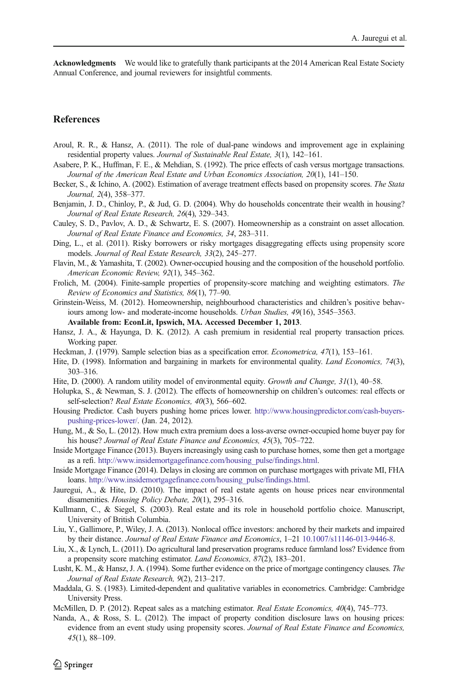<span id="page-19-0"></span>Acknowledgments We would like to gratefully thank participants at the 2014 American Real Estate Society Annual Conference, and journal reviewers for insightful comments.

#### References

- Aroul, R. R., & Hansz, A. (2011). The role of dual-pane windows and improvement age in explaining residential property values. Journal of Sustainable Real Estate, 3(1), 142–161.
- Asabere, P. K., Huffman, F. E., & Mehdian, S. (1992). The price effects of cash versus mortgage transactions. Journal of the American Real Estate and Urban Economics Association, 20(1), 141–150.
- Becker, S., & Ichino, A. (2002). Estimation of average treatment effects based on propensity scores. The Stata Journal, 2(4), 358–377.
- Benjamin, J. D., Chinloy, P., & Jud, G. D. (2004). Why do households concentrate their wealth in housing? Journal of Real Estate Research, 26(4), 329–343.
- Cauley, S. D., Pavlov, A. D., & Schwartz, E. S. (2007). Homeownership as a constraint on asset allocation. Journal of Real Estate Finance and Economics, 34, 283–311.
- Ding, L., et al. (2011). Risky borrowers or risky mortgages disaggregating effects using propensity score models. Journal of Real Estate Research, 33(2), 245–277.
- Flavin, M., & Yamashita, T. (2002). Owner-occupied housing and the composition of the household portfolio. American Economic Review, 92(1), 345–362.
- Frolich, M. (2004). Finite-sample properties of propensity-score matching and weighting estimators. The Review of Economics and Statistics, 86(1), 77–90.
- Grinstein-Weiss, M. (2012). Homeownership, neighbourhood characteristics and children's positive behaviours among low- and moderate-income households. *Urban Studies*, 49(16), 3545–3563.
	- Available from: EconLit, Ipswich, MA. Accessed December 1, 2013.
- Hansz, J. A., & Hayunga, D. K. (2012). A cash premium in residential real property transaction prices. Working paper.
- Heckman, J. (1979). Sample selection bias as a specification error. Econometrica, 47(1), 153-161.
- Hite, D. (1998). Information and bargaining in markets for environmental quality. Land Economics, 74(3), 303–316.
- Hite, D. (2000). A random utility model of environmental equity. Growth and Change, 31(1), 40–58.
- Holupka, S., & Newman, S. J. (2012). The effects of homeownership on children's outcomes: real effects or self-selection? Real Estate Economics, 40(3), 566-602.
- Housing Predictor. Cash buyers pushing home prices lower. [http://www.housingpredictor.com/cash-buyers](http://www.housingpredictor.com/cash-buyers-pushing-prices-lower/)[pushing-prices-lower/.](http://www.housingpredictor.com/cash-buyers-pushing-prices-lower/) (Jan. 24, 2012).
- Hung, M., & So, L. (2012). How much extra premium does a loss-averse owner-occupied home buyer pay for his house? Journal of Real Estate Finance and Economics, 45(3), 705–722.
- Inside Mortgage Finance (2013). Buyers increasingly using cash to purchase homes, some then get a mortgage as a refi. [http://www.insidemortgagefinance.com/housing\\_pulse/findings.html](http://www.insidemortgagefinance.com/housing_pulse/findings.html).
- Inside Mortgage Finance (2014). Delays in closing are common on purchase mortgages with private MI, FHA loans. [http://www.insidemortgagefinance.com/housing\\_pulse/findings.html.](http://www.insidemortgagefinance.com/housing_pulse/findings.html)
- Jauregui, A., & Hite, D. (2010). The impact of real estate agents on house prices near environmental disamenities. Housing Policy Debate, 20(1), 295–316.
- Kullmann, C., & Siegel, S. (2003). Real estate and its role in household portfolio choice. Manuscript, University of British Columbia.
- Liu, Y., Gallimore, P., Wiley, J. A. (2013). Nonlocal office investors: anchored by their markets and impaired by their distance. Journal of Real Estate Finance and Economics, 1–21 [10.1007/s11146-013-9446-8.](http://dx.doi.org/10.1007/s11146-013-9446-8)
- Liu, X., & Lynch, L. (2011). Do agricultural land preservation programs reduce farmland loss? Evidence from a propensity score matching estimator. Land Economics, 87(2), 183–201.
- Lusht, K. M., & Hansz, J. A. (1994). Some further evidence on the price of mortgage contingency clauses. The Journal of Real Estate Research, 9(2), 213–217.
- Maddala, G. S. (1983). Limited-dependent and qualitative variables in econometrics. Cambridge: Cambridge University Press.
- McMillen, D. P. (2012). Repeat sales as a matching estimator. Real Estate Economics, 40(4), 745–773.
- Nanda, A., & Ross, S. L. (2012). The impact of property condition disclosure laws on housing prices: evidence from an event study using propensity scores. Journal of Real Estate Finance and Economics, 45(1), 88–109.